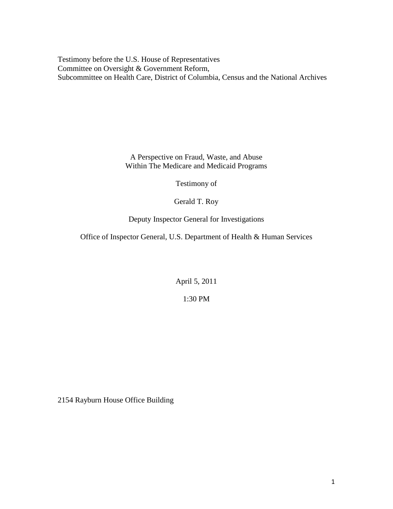Testimony before the U.S. House of Representatives Committee on Oversight & Government Reform, Subcommittee on Health Care, District of Columbia, Census and the National Archives

> A Perspective on Fraud, Waste, and Abuse Within The Medicare and Medicaid Programs

> > Testimony of

Gerald T. Roy

Deputy Inspector General for Investigations

Office of Inspector General, U.S. Department of Health & Human Services

April 5, 2011

1:30 PM

2154 Rayburn House Office Building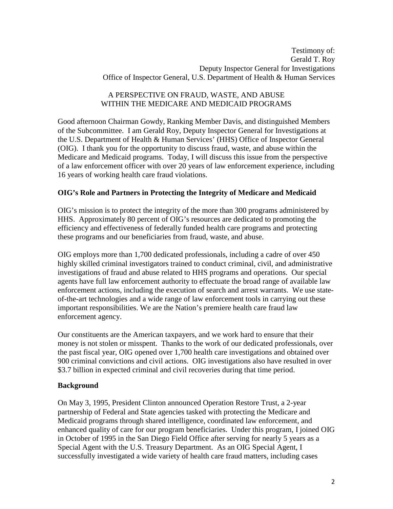## A PERSPECTIVE ON FRAUD, WASTE, AND ABUSE WITHIN THE MEDICARE AND MEDICAID PROGRAMS

Good afternoon Chairman Gowdy, Ranking Member Davis, and distinguished Members of the Subcommittee. I am Gerald Roy, Deputy Inspector General for Investigations at the U.S. Department of Health & Human Services' (HHS) Office of Inspector General (OIG). I thank you for the opportunity to discuss fraud, waste, and abuse within the Medicare and Medicaid programs. Today, I will discuss this issue from the perspective of a law enforcement officer with over 20 years of law enforcement experience, including 16 years of working health care fraud violations.

# **OIG's Role and Partners in Protecting the Integrity of Medicare and Medicaid**

OIG's mission is to protect the integrity of the more than 300 programs administered by HHS. Approximately 80 percent of OIG's resources are dedicated to promoting the efficiency and effectiveness of federally funded health care programs and protecting these programs and our beneficiaries from fraud, waste, and abuse.

OIG employs more than 1,700 dedicated professionals, including a cadre of over 450 highly skilled criminal investigators trained to conduct criminal, civil, and administrative investigations of fraud and abuse related to HHS programs and operations. Our special agents have full law enforcement authority to effectuate the broad range of available law enforcement actions, including the execution of search and arrest warrants. We use stateof-the-art technologies and a wide range of law enforcement tools in carrying out these important responsibilities. We are the Nation's premiere health care fraud law enforcement agency.

Our constituents are the American taxpayers, and we work hard to ensure that their money is not stolen or misspent. Thanks to the work of our dedicated professionals, over the past fiscal year, OIG opened over 1,700 health care investigations and obtained over 900 criminal convictions and civil actions. OIG investigations also have resulted in over \$3.7 billion in expected criminal and civil recoveries during that time period.

## **Background**

On May 3, 1995, President Clinton announced Operation Restore Trust, a 2-year partnership of Federal and State agencies tasked with protecting the Medicare and Medicaid programs through shared intelligence, coordinated law enforcement, and enhanced quality of care for our program beneficiaries. Under this program, I joined OIG in October of 1995 in the San Diego Field Office after serving for nearly 5 years as a Special Agent with the U.S. Treasury Department. As an OIG Special Agent, I successfully investigated a wide variety of health care fraud matters, including cases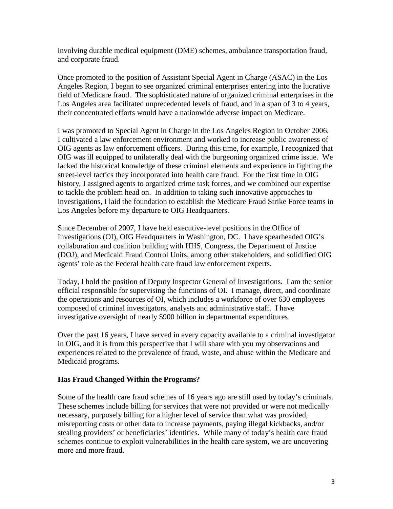involving durable medical equipment (DME) schemes, ambulance transportation fraud, and corporate fraud.

Once promoted to the position of Assistant Special Agent in Charge (ASAC) in the Los Angeles Region, I began to see organized criminal enterprises entering into the lucrative field of Medicare fraud. The sophisticated nature of organized criminal enterprises in the Los Angeles area facilitated unprecedented levels of fraud, and in a span of 3 to 4 years, their concentrated efforts would have a nationwide adverse impact on Medicare.

I was promoted to Special Agent in Charge in the Los Angeles Region in October 2006. I cultivated a law enforcement environment and worked to increase public awareness of OIG agents as law enforcement officers. During this time, for example, I recognized that OIG was ill equipped to unilaterally deal with the burgeoning organized crime issue. We lacked the historical knowledge of these criminal elements and experience in fighting the street-level tactics they incorporated into health care fraud. For the first time in OIG history, I assigned agents to organized crime task forces, and we combined our expertise to tackle the problem head on. In addition to taking such innovative approaches to investigations, I laid the foundation to establish the Medicare Fraud Strike Force teams in Los Angeles before my departure to OIG Headquarters.

Since December of 2007, I have held executive-level positions in the Office of Investigations (OI), OIG Headquarters in Washington, DC. I have spearheaded OIG's collaboration and coalition building with HHS, Congress, the Department of Justice (DOJ), and Medicaid Fraud Control Units, among other stakeholders, and solidified OIG agents' role as the Federal health care fraud law enforcement experts.

Today, I hold the position of Deputy Inspector General of Investigations. I am the senior official responsible for supervising the functions of OI. I manage, direct, and coordinate the operations and resources of OI, which includes a workforce of over 630 employees composed of criminal investigators, analysts and administrative staff. I have investigative oversight of nearly \$900 billion in departmental expenditures.

Over the past 16 years, I have served in every capacity available to a criminal investigator in OIG, and it is from this perspective that I will share with you my observations and experiences related to the prevalence of fraud, waste, and abuse within the Medicare and Medicaid programs.

## **Has Fraud Changed Within the Programs?**

Some of the health care fraud schemes of 16 years ago are still used by today's criminals. These schemes include billing for services that were not provided or were not medically necessary, purposely billing for a higher level of service than what was provided, misreporting costs or other data to increase payments, paying illegal kickbacks, and/or stealing providers' or beneficiaries' identities. While many of today's health care fraud schemes continue to exploit vulnerabilities in the health care system, we are uncovering more and more fraud.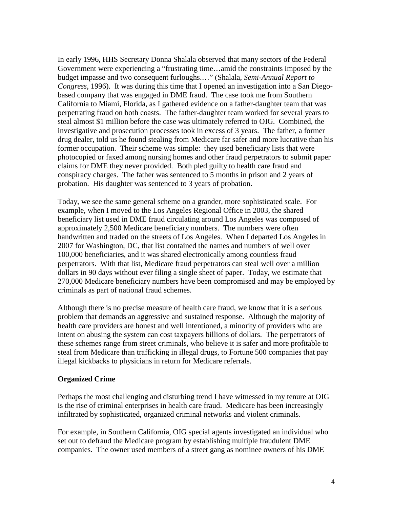In early 1996, HHS Secretary Donna Shalala observed that many sectors of the Federal Government were experiencing a "frustrating time…amid the constraints imposed by the budget impasse and two consequent furloughs.…" (Shalala, *Semi-Annual Report to Congress*, 1996). It was during this time that I opened an investigation into a San Diegobased company that was engaged in DME fraud. The case took me from Southern California to Miami, Florida, as I gathered evidence on a father-daughter team that was perpetrating fraud on both coasts. The father-daughter team worked for several years to steal almost \$1 million before the case was ultimately referred to OIG. Combined, the investigative and prosecution processes took in excess of 3 years. The father, a former drug dealer, told us he found stealing from Medicare far safer and more lucrative than his former occupation. Their scheme was simple: they used beneficiary lists that were photocopied or faxed among nursing homes and other fraud perpetrators to submit paper claims for DME they never provided. Both pled guilty to health care fraud and conspiracy charges. The father was sentenced to 5 months in prison and 2 years of probation. His daughter was sentenced to 3 years of probation.

Today, we see the same general scheme on a grander, more sophisticated scale. For example, when I moved to the Los Angeles Regional Office in 2003, the shared beneficiary list used in DME fraud circulating around Los Angeles was composed of approximately 2,500 Medicare beneficiary numbers. The numbers were often handwritten and traded on the streets of Los Angeles. When I departed Los Angeles in 2007 for Washington, DC, that list contained the names and numbers of well over 100,000 beneficiaries, and it was shared electronically among countless fraud perpetrators. With that list, Medicare fraud perpetrators can steal well over a million dollars in 90 days without ever filing a single sheet of paper. Today, we estimate that 270,000 Medicare beneficiary numbers have been compromised and may be employed by criminals as part of national fraud schemes.

Although there is no precise measure of health care fraud, we know that it is a serious problem that demands an aggressive and sustained response. Although the majority of health care providers are honest and well intentioned, a minority of providers who are intent on abusing the system can cost taxpayers billions of dollars. The perpetrators of these schemes range from street criminals, who believe it is safer and more profitable to steal from Medicare than trafficking in illegal drugs, to Fortune 500 companies that pay illegal kickbacks to physicians in return for Medicare referrals.

#### **Organized Crime**

Perhaps the most challenging and disturbing trend I have witnessed in my tenure at OIG is the rise of criminal enterprises in health care fraud. Medicare has been increasingly infiltrated by sophisticated, organized criminal networks and violent criminals.

For example, in Southern California, OIG special agents investigated an individual who set out to defraud the Medicare program by establishing multiple fraudulent DME companies. The owner used members of a street gang as nominee owners of his DME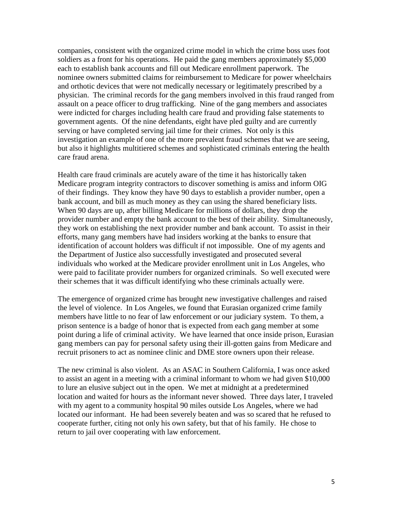companies, consistent with the organized crime model in which the crime boss uses foot soldiers as a front for his operations. He paid the gang members approximately \$5,000 each to establish bank accounts and fill out Medicare enrollment paperwork. The nominee owners submitted claims for reimbursement to Medicare for power wheelchairs and orthotic devices that were not medically necessary or legitimately prescribed by a physician. The criminal records for the gang members involved in this fraud ranged from assault on a peace officer to drug trafficking. Nine of the gang members and associates were indicted for charges including health care fraud and providing false statements to government agents. Of the nine defendants, eight have pled guilty and are currently serving or have completed serving jail time for their crimes. Not only is this investigation an example of one of the more prevalent fraud schemes that we are seeing, but also it highlights multitiered schemes and sophisticated criminals entering the health care fraud arena.

Health care fraud criminals are acutely aware of the time it has historically taken Medicare program integrity contractors to discover something is amiss and inform OIG of their findings. They know they have 90 days to establish a provider number, open a bank account, and bill as much money as they can using the shared beneficiary lists. When 90 days are up, after billing Medicare for millions of dollars, they drop the provider number and empty the bank account to the best of their ability. Simultaneously, they work on establishing the next provider number and bank account. To assist in their efforts, many gang members have had insiders working at the banks to ensure that identification of account holders was difficult if not impossible. One of my agents and the Department of Justice also successfully investigated and prosecuted several individuals who worked at the Medicare provider enrollment unit in Los Angeles, who were paid to facilitate provider numbers for organized criminals. So well executed were their schemes that it was difficult identifying who these criminals actually were.

The emergence of organized crime has brought new investigative challenges and raised the level of violence. In Los Angeles, we found that Eurasian organized crime family members have little to no fear of law enforcement or our judiciary system. To them, a prison sentence is a badge of honor that is expected from each gang member at some point during a life of criminal activity. We have learned that once inside prison, Eurasian gang members can pay for personal safety using their ill-gotten gains from Medicare and recruit prisoners to act as nominee clinic and DME store owners upon their release.

The new criminal is also violent. As an ASAC in Southern California, I was once asked to assist an agent in a meeting with a criminal informant to whom we had given \$10,000 to lure an elusive subject out in the open. We met at midnight at a predetermined location and waited for hours as the informant never showed. Three days later, I traveled with my agent to a community hospital 90 miles outside Los Angeles, where we had located our informant. He had been severely beaten and was so scared that he refused to cooperate further, citing not only his own safety, but that of his family. He chose to return to jail over cooperating with law enforcement.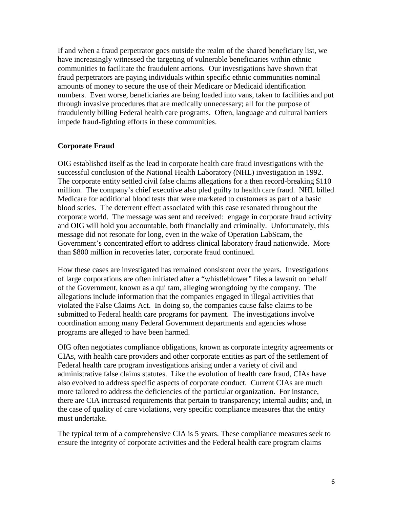If and when a fraud perpetrator goes outside the realm of the shared beneficiary list, we have increasingly witnessed the targeting of vulnerable beneficiaries within ethnic communities to facilitate the fraudulent actions. Our investigations have shown that fraud perpetrators are paying individuals within specific ethnic communities nominal amounts of money to secure the use of their Medicare or Medicaid identification numbers. Even worse, beneficiaries are being loaded into vans, taken to facilities and put through invasive procedures that are medically unnecessary; all for the purpose of fraudulently billing Federal health care programs. Often, language and cultural barriers impede fraud-fighting efforts in these communities.

#### **Corporate Fraud**

OIG established itself as the lead in corporate health care fraud investigations with the successful conclusion of the National Health Laboratory (NHL) investigation in 1992. The corporate entity settled civil false claims allegations for a then record-breaking \$110 million. The company's chief executive also pled guilty to health care fraud. NHL billed Medicare for additional blood tests that were marketed to customers as part of a basic blood series. The deterrent effect associated with this case resonated throughout the corporate world. The message was sent and received: engage in corporate fraud activity and OIG will hold you accountable, both financially and criminally. Unfortunately, this message did not resonate for long, even in the wake of Operation LabScam, the Government's concentrated effort to address clinical laboratory fraud nationwide. More than \$800 million in recoveries later, corporate fraud continued.

How these cases are investigated has remained consistent over the years. Investigations of large corporations are often initiated after a "whistleblower" files a lawsuit on behalf of the Government, known as a qui tam, alleging wrongdoing by the company. The allegations include information that the companies engaged in illegal activities that violated the False Claims Act. In doing so, the companies cause false claims to be submitted to Federal health care programs for payment. The investigations involve coordination among many Federal Government departments and agencies whose programs are alleged to have been harmed.

OIG often negotiates compliance obligations, known as corporate integrity agreements or CIAs, with health care providers and other corporate entities as part of the settlement of Federal health care program investigations arising under a variety of civil and administrative false claims statutes. Like the evolution of health care fraud, CIAs have also evolved to address specific aspects of corporate conduct. Current CIAs are much more tailored to address the deficiencies of the particular organization. For instance, there are CIA increased requirements that pertain to transparency; internal audits; and, in the case of quality of care violations, very specific compliance measures that the entity must undertake.

The typical term of a comprehensive CIA is 5 years. These compliance measures seek to ensure the integrity of corporate activities and the Federal health care program claims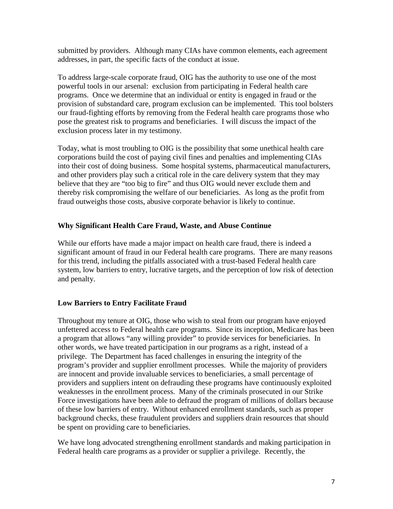submitted by providers. Although many CIAs have common elements, each agreement addresses, in part, the specific facts of the conduct at issue.

To address large-scale corporate fraud, OIG has the authority to use one of the most powerful tools in our arsenal: exclusion from participating in Federal health care programs. Once we determine that an individual or entity is engaged in fraud or the provision of substandard care, program exclusion can be implemented. This tool bolsters our fraud-fighting efforts by removing from the Federal health care programs those who pose the greatest risk to programs and beneficiaries. I will discuss the impact of the exclusion process later in my testimony.

Today, what is most troubling to OIG is the possibility that some unethical health care corporations build the cost of paying civil fines and penalties and implementing CIAs into their cost of doing business. Some hospital systems, pharmaceutical manufacturers, and other providers play such a critical role in the care delivery system that they may believe that they are "too big to fire" and thus OIG would never exclude them and thereby risk compromising the welfare of our beneficiaries. As long as the profit from fraud outweighs those costs, abusive corporate behavior is likely to continue.

## **Why Significant Health Care Fraud, Waste, and Abuse Continue**

While our efforts have made a major impact on health care fraud, there is indeed a significant amount of fraud in our Federal health care programs. There are many reasons for this trend, including the pitfalls associated with a trust-based Federal health care system, low barriers to entry, lucrative targets, and the perception of low risk of detection and penalty.

# **Low Barriers to Entry Facilitate Fraud**

Throughout my tenure at OIG, those who wish to steal from our program have enjoyed unfettered access to Federal health care programs. Since its inception, Medicare has been a program that allows "any willing provider" to provide services for beneficiaries. In other words, we have treated participation in our programs as a right, instead of a privilege. The Department has faced challenges in ensuring the integrity of the program's provider and supplier enrollment processes. While the majority of providers are innocent and provide invaluable services to beneficiaries, a small percentage of providers and suppliers intent on defrauding these programs have continuously exploited weaknesses in the enrollment process. Many of the criminals prosecuted in our Strike Force investigations have been able to defraud the program of millions of dollars because of these low barriers of entry. Without enhanced enrollment standards, such as proper background checks, these fraudulent providers and suppliers drain resources that should be spent on providing care to beneficiaries.

We have long advocated strengthening enrollment standards and making participation in Federal health care programs as a provider or supplier a privilege. Recently, the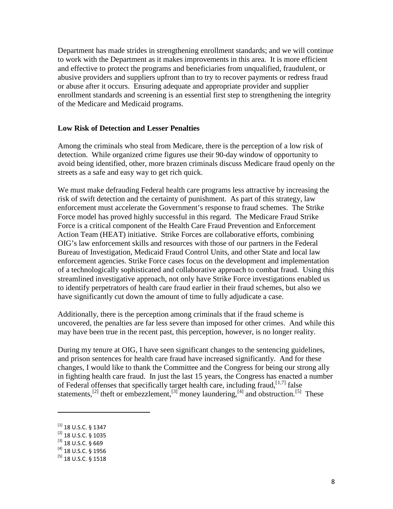Department has made strides in strengthening enrollment standards; and we will continue to work with the Department as it makes improvements in this area. It is more efficient and effective to protect the programs and beneficiaries from unqualified, fraudulent, or abusive providers and suppliers upfront than to try to recover payments or redress fraud or abuse after it occurs. Ensuring adequate and appropriate provider and supplier enrollment standards and screening is an essential first step to strengthening the integrity of the Medicare and Medicaid programs.

#### **Low Risk of Detection and Lesser Penalties**

Among the criminals who steal from Medicare, there is the perception of a low risk of detection. While organized crime figures use their 90-day window of opportunity to avoid being identified, other, more brazen criminals discuss Medicare fraud openly on the streets as a safe and easy way to get rich quick.

We must make defrauding Federal health care programs less attractive by increasing the risk of swift detection and the certainty of punishment. As part of this strategy, law enforcement must accelerate the Government's response to fraud schemes. The Strike Force model has proved highly successful in this regard. The Medicare Fraud Strike Force is a critical component of the Health Care Fraud Prevention and Enforcement Action Team (HEAT) initiative. Strike Forces are collaborative efforts, combining OIG's law enforcement skills and resources with those of our partners in the Federal Bureau of Investigation, Medicaid Fraud Control Units, and other State and local law enforcement agencies. Strike Force cases focus on the development and implementation of a technologically sophisticated and collaborative approach to combat fraud. Using this streamlined investigative approach, not only have Strike Force investigations enabled us to identify perpetrators of health care fraud earlier in their fraud schemes, but also we have significantly cut down the amount of time to fully adjudicate a case.

Additionally, there is the perception among criminals that if the fraud scheme is uncovered, the penalties are far less severe than imposed for other crimes. And while this may have been true in the recent past, this perception, however, is no longer reality.

During my tenure at OIG, I have seen significant changes to the sentencing guidelines, and prison sentences for health care fraud have increased significantly. And for these changes, I would like to thank the Committee and the Congress for being our strong ally in fighting health care fraud. In just the last 15 years, the Congress has enacted a number of Federal offenses that specifically target health care, including fraud, [[1,](#page-7-0)7] false statements,<sup>[\[2\]](#page-7-1)</sup> theft or embezzlement,<sup>[\[3\]](#page-7-2)</sup> money laundering,<sup>[\[4\]](#page-7-3)</sup> and obstruction.<sup>[\[5\]](#page-7-4)</sup> These

ı

 $^{[1]}$  18 U.S.C. § 1347

<span id="page-7-1"></span><span id="page-7-0"></span><sup>[2]</sup> 18 U.S.C. § 1035

<span id="page-7-2"></span> $^{[3]}$  18 U.S.C. § 669

<span id="page-7-3"></span><sup>[4]</sup> 18 U.S.C. § 1956

<span id="page-7-4"></span> $^{[5]}$  18 U.S.C. § 1518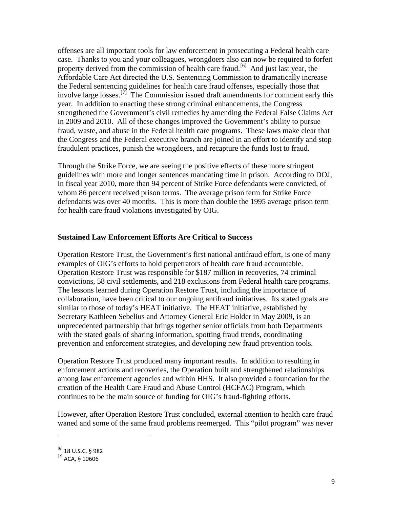offenses are all important tools for law enforcement in prosecuting a Federal health care case. Thanks to you and your colleagues, wrongdoers also can now be required to forfeit property derived from the commission of health care fraud.<sup>[\[6\]](#page-8-0)</sup> And just last year, the Affordable Care Act directed the U.S. Sentencing Commission to dramatically increase the Federal sentencing guidelines for health care fraud offenses, especially those that involve large losses.<sup>[\[7\]](#page-8-1)</sup> The Commission issued draft amendments for comment early this year. In addition to enacting these strong criminal enhancements, the Congress strengthened the Government's civil remedies by amending the Federal False Claims Act in 2009 and 2010. All of these changes improved the Government's ability to pursue fraud, waste, and abuse in the Federal health care programs. These laws make clear that the Congress and the Federal executive branch are joined in an effort to identify and stop fraudulent practices, punish the wrongdoers, and recapture the funds lost to fraud.

Through the Strike Force, we are seeing the positive effects of these more stringent guidelines with more and longer sentences mandating time in prison. According to DOJ, in fiscal year 2010, more than 94 percent of Strike Force defendants were convicted, of whom 86 percent received prison terms. The average prison term for Strike Force defendants was over 40 months. This is more than double the 1995 average prison term for health care fraud violations investigated by OIG.

#### **Sustained Law Enforcement Efforts Are Critical to Success**

Operation Restore Trust, the Government's first national antifraud effort, is one of many examples of OIG's efforts to hold perpetrators of health care fraud accountable. Operation Restore Trust was responsible for \$187 million in recoveries, 74 criminal convictions, 58 civil settlements, and 218 exclusions from Federal health care programs. The lessons learned during Operation Restore Trust, including the importance of collaboration, have been critical to our ongoing antifraud initiatives. Its stated goals are similar to those of today's HEAT initiative. The HEAT initiative, established by Secretary Kathleen Sebelius and Attorney General Eric Holder in May 2009, is an unprecedented partnership that brings together senior officials from both Departments with the stated goals of sharing information, spotting fraud trends, coordinating prevention and enforcement strategies, and developing new fraud prevention tools.

Operation Restore Trust produced many important results. In addition to resulting in enforcement actions and recoveries, the Operation built and strengthened relationships among law enforcement agencies and within HHS. It also provided a foundation for the creation of the Health Care Fraud and Abuse Control (HCFAC) Program, which continues to be the main source of funding for OIG's fraud-fighting efforts.

However, after Operation Restore Trust concluded, external attention to health care fraud waned and some of the same fraud problems reemerged. This "pilot program" was never

ı

<span id="page-8-0"></span> $^{[6]}$  18 U.S.C. § 982

<span id="page-8-1"></span> $^{[7]}$  ACA, § 10606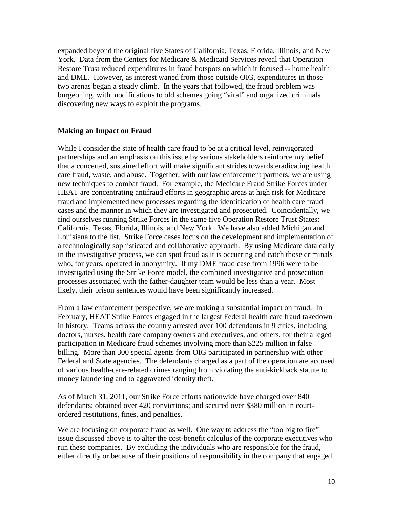expanded beyond the original five States of California, Texas, Florida, Illinois, and New York. Data from the Centers for Medicare & Medicaid Services reveal that Operation Restore Trust reduced expenditures in fraud hotspots on which it focused -- home health and DME. However, as interest waned from those outside OIG, expenditures in those two arenas began a steady climb. In the years that followed, the fraud problem was burgeoning, with modifications to old schemes going "viral" and organized criminals discovering new ways to exploit the programs.

#### **Making an Impact on Fraud**

While I consider the state of health care fraud to be at a critical level, reinvigorated partnerships and an emphasis on this issue by various stakeholders reinforce my belief that a concerted, sustained effort will make significant strides towards eradicating health care fraud, waste, and abuse. Together, with our law enforcement partners, we are using new techniques to combat fraud. For example, the Medicare Fraud Strike Forces under HEAT are concentrating antifraud efforts in geographic areas at high risk for Medicare fraud and implemented new processes regarding the identification of health care fraud cases and the manner in which they are investigated and prosecuted. Coincidentally, we find ourselves running Strike Forces in the same five Operation Restore Trust States: California, Texas, Florida, Illinois, and New York. We have also added Michigan and Louisiana to the list. Strike Force cases focus on the development and implementation of a technologically sophisticated and collaborative approach. By using Medicare data early in the investigative process, we can spot fraud as it is occurring and catch those criminals who, for years, operated in anonymity. If my DME fraud case from 1996 were to be investigated using the Strike Force model, the combined investigative and prosecution processes associated with the father-daughter team would be less than a year. Most likely, their prison sentences would have been significantly increased.

From a law enforcement perspective, we are making a substantial impact on fraud. In February, HEAT Strike Forces engaged in the largest Federal health care fraud takedown in history. Teams across the country arrested over 100 defendants in 9 cities, including doctors, nurses, health care company owners and executives, and others, for their alleged participation in Medicare fraud schemes involving more than \$225 million in false billing. More than 300 special agents from OIG participated in partnership with other Federal and State agencies. The defendants charged as a part of the operation are accused of various health-care-related crimes ranging from violating the anti-kickback statute to money laundering and to aggravated identity theft.

As of March 31, 2011, our Strike Force efforts nationwide have charged over 840 defendants; obtained over 420 convictions; and secured over \$380 million in courtordered restitutions, fines, and penalties.

We are focusing on corporate fraud as well. One way to address the "too big to fire" issue discussed above is to alter the cost-benefit calculus of the corporate executives who run these companies. By excluding the individuals who are responsible for the fraud, either directly or because of their positions of responsibility in the company that engaged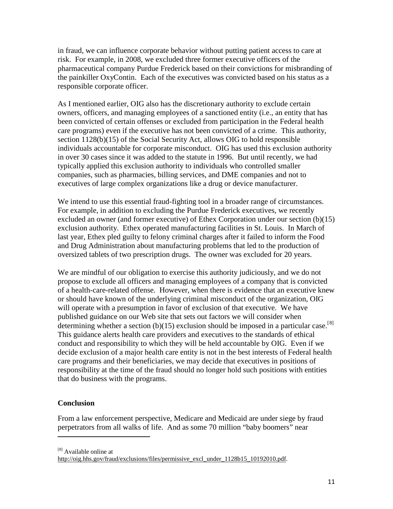in fraud, we can influence corporate behavior without putting patient access to care at risk. For example, in 2008, we excluded three former executive officers of the pharmaceutical company Purdue Frederick based on their convictions for misbranding of the painkiller OxyContin. Each of the executives was convicted based on his status as a responsible corporate officer.

As I mentioned earlier, OIG also has the discretionary authority to exclude certain owners, officers, and managing employees of a sanctioned entity (i.e., an entity that has been convicted of certain offenses or excluded from participation in the Federal health care programs) even if the executive has not been convicted of a crime. This authority, section 1128(b)(15) of the Social Security Act, allows OIG to hold responsible individuals accountable for corporate misconduct. OIG has used this exclusion authority in over 30 cases since it was added to the statute in 1996. But until recently, we had typically applied this exclusion authority to individuals who controlled smaller companies, such as pharmacies, billing services, and DME companies and not to executives of large complex organizations like a drug or device manufacturer.

We intend to use this essential fraud-fighting tool in a broader range of circumstances. For example, in addition to excluding the Purdue Frederick executives, we recently excluded an owner (and former executive) of Ethex Corporation under our section (b)(15) exclusion authority. Ethex operated manufacturing facilities in St. Louis. In March of last year, Ethex pled guilty to felony criminal charges after it failed to inform the Food and Drug Administration about manufacturing problems that led to the production of oversized tablets of two prescription drugs. The owner was excluded for 20 years.

We are mindful of our obligation to exercise this authority judiciously, and we do not propose to exclude all officers and managing employees of a company that is convicted of a health-care-related offense. However, when there is evidence that an executive knew or should have known of the underlying criminal misconduct of the organization, OIG will operate with a presumption in favor of exclusion of that executive. We have published guidance on our Web site that sets out factors we will consider when determining whether a section (b)(15) exclusion should be imposed in a particular case.<sup>[[8](#page-10-0)]</sup> This guidance alerts health care providers and executives to the standards of ethical conduct and responsibility to which they will be held accountable by OIG. Even if we decide exclusion of a major health care entity is not in the best interests of Federal health care programs and their beneficiaries, we may decide that executives in positions of responsibility at the time of the fraud should no longer hold such positions with entities that do business with the programs.

## **Conclusion**

 $\overline{\phantom{0}}$ 

From a law enforcement perspective, Medicare and Medicaid are under siege by fraud perpetrators from all walks of life. And as some 70 million "baby boomers" near

<span id="page-10-0"></span><sup>[8]</sup> Available online at

http://oig.hhs.gov/fraud/exclusions/files/permissive\_excl\_under\_1128b15\_10192010.pdf.